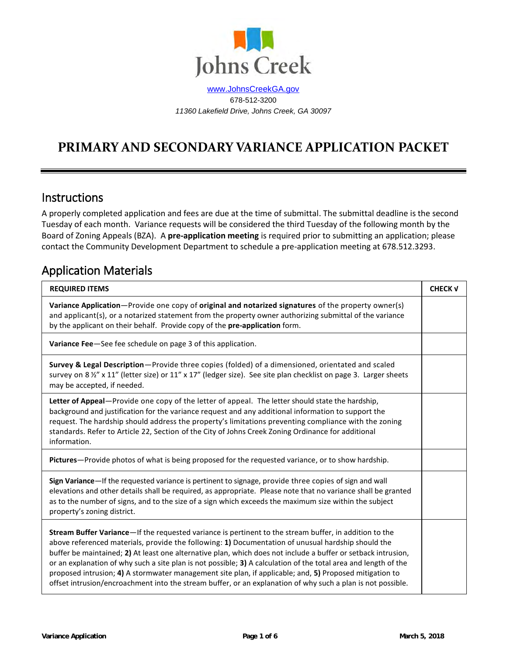

[www.JohnsCreekGA.gov](http://www.johnscreekga.gov/) 678-512-3200 *11360 Lakefield Drive, Johns Creek, GA 30097*

# **PRIMARY AND SECONDARY VARIANCE APPLICATION PACKET**

### Instructions

A properly completed application and fees are due at the time of submittal. The submittal deadline is the second Tuesday of each month. Variance requests will be considered the third Tuesday of the following month by the Board of Zoning Appeals (BZA). A **pre-application meeting** is required prior to submitting an application; please contact the Community Development Department to schedule a pre-application meeting at 678.512.3293.

### Application Materials

| <b>REQUIRED ITEMS</b>                                                                                                                                                                                                                                                                                                                                                                                                                                                                                                                                                                                                                                                      | <b>CHECK V</b> |
|----------------------------------------------------------------------------------------------------------------------------------------------------------------------------------------------------------------------------------------------------------------------------------------------------------------------------------------------------------------------------------------------------------------------------------------------------------------------------------------------------------------------------------------------------------------------------------------------------------------------------------------------------------------------------|----------------|
| Variance Application-Provide one copy of original and notarized signatures of the property owner(s)<br>and applicant(s), or a notarized statement from the property owner authorizing submittal of the variance<br>by the applicant on their behalf. Provide copy of the pre-application form.                                                                                                                                                                                                                                                                                                                                                                             |                |
| Variance Fee-See fee schedule on page 3 of this application.                                                                                                                                                                                                                                                                                                                                                                                                                                                                                                                                                                                                               |                |
| Survey & Legal Description-Provide three copies (folded) of a dimensioned, orientated and scaled<br>survey on 8 1/2" x 11" (letter size) or 11" x 17" (ledger size). See site plan checklist on page 3. Larger sheets<br>may be accepted, if needed.                                                                                                                                                                                                                                                                                                                                                                                                                       |                |
| Letter of Appeal-Provide one copy of the letter of appeal. The letter should state the hardship,<br>background and justification for the variance request and any additional information to support the<br>request. The hardship should address the property's limitations preventing compliance with the zoning<br>standards. Refer to Article 22, Section of the City of Johns Creek Zoning Ordinance for additional<br>information.                                                                                                                                                                                                                                     |                |
| Pictures-Provide photos of what is being proposed for the requested variance, or to show hardship.                                                                                                                                                                                                                                                                                                                                                                                                                                                                                                                                                                         |                |
| Sign Variance—If the requested variance is pertinent to signage, provide three copies of sign and wall<br>elevations and other details shall be required, as appropriate. Please note that no variance shall be granted<br>as to the number of signs, and to the size of a sign which exceeds the maximum size within the subject<br>property's zoning district.                                                                                                                                                                                                                                                                                                           |                |
| Stream Buffer Variance—If the requested variance is pertinent to the stream buffer, in addition to the<br>above referenced materials, provide the following: 1) Documentation of unusual hardship should the<br>buffer be maintained; 2) At least one alternative plan, which does not include a buffer or setback intrusion,<br>or an explanation of why such a site plan is not possible; 3) A calculation of the total area and length of the<br>proposed intrusion; 4) A stormwater management site plan, if applicable; and, 5) Proposed mitigation to<br>offset intrusion/encroachment into the stream buffer, or an explanation of why such a plan is not possible. |                |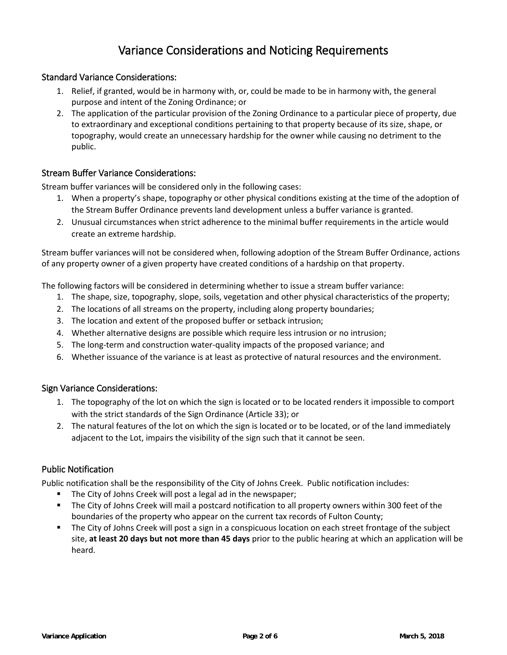### Variance Considerations and Noticing Requirements

#### Standard Variance Considerations:

- 1. Relief, if granted, would be in harmony with, or, could be made to be in harmony with, the general purpose and intent of the Zoning Ordinance; or
- 2. The application of the particular provision of the Zoning Ordinance to a particular piece of property, due to extraordinary and exceptional conditions pertaining to that property because of its size, shape, or topography, would create an unnecessary hardship for the owner while causing no detriment to the public.

#### Stream Buffer Variance Considerations:

Stream buffer variances will be considered only in the following cases:

- 1. When a property's shape, topography or other physical conditions existing at the time of the adoption of the Stream Buffer Ordinance prevents land development unless a buffer variance is granted.
- 2. Unusual circumstances when strict adherence to the minimal buffer requirements in the article would create an extreme hardship.

Stream buffer variances will not be considered when, following adoption of the Stream Buffer Ordinance, actions of any property owner of a given property have created conditions of a hardship on that property.

The following factors will be considered in determining whether to issue a stream buffer variance:

- 1. The shape, size, topography, slope, soils, vegetation and other physical characteristics of the property;
- 2. The locations of all streams on the property, including along property boundaries;
- 3. The location and extent of the proposed buffer or setback intrusion;
- 4. Whether alternative designs are possible which require less intrusion or no intrusion;
- 5. The long-term and construction water-quality impacts of the proposed variance; and
- 6. Whether issuance of the variance is at least as protective of natural resources and the environment.

#### Sign Variance Considerations:

- 1. The topography of the lot on which the sign is located or to be located renders it impossible to comport with the strict standards of the Sign Ordinance (Article 33); or
- 2. The natural features of the lot on which the sign is located or to be located, or of the land immediately adjacent to the Lot, impairs the visibility of the sign such that it cannot be seen.

#### Public Notification

Public notification shall be the responsibility of the City of Johns Creek. Public notification includes:

- The City of Johns Creek will post a legal ad in the newspaper;
- The City of Johns Creek will mail a postcard notification to all property owners within 300 feet of the boundaries of the property who appear on the current tax records of Fulton County;
- **The City of Johns Creek will post a sign in a conspicuous location on each street frontage of the subject** site, **at least 20 days but not more than 45 days** prior to the public hearing at which an application will be heard.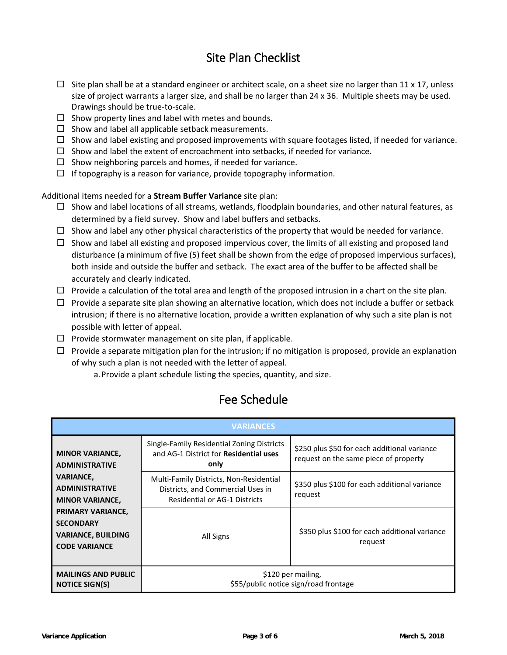## Site Plan Checklist

- $\Box$  Site plan shall be at a standard engineer or architect scale, on a sheet size no larger than 11 x 17, unless size of project warrants a larger size, and shall be no larger than 24 x 36. Multiple sheets may be used. Drawings should be true-to-scale.
- $\square$  Show property lines and label with metes and bounds.
- $\square$  Show and label all applicable setback measurements.
- $\Box$  Show and label existing and proposed improvements with square footages listed, if needed for variance.
- $\Box$  Show and label the extent of encroachment into setbacks, if needed for variance.
- $\Box$  Show neighboring parcels and homes, if needed for variance.
- $\Box$  If topography is a reason for variance, provide topography information.

Additional items needed for a **Stream Buffer Variance** site plan:

- $\Box$  Show and label locations of all streams, wetlands, floodplain boundaries, and other natural features, as determined by a field survey. Show and label buffers and setbacks.
- $\Box$  Show and label any other physical characteristics of the property that would be needed for variance.
- $\Box$  Show and label all existing and proposed impervious cover, the limits of all existing and proposed land disturbance (a minimum of five (5) feet shall be shown from the edge of proposed impervious surfaces), both inside and outside the buffer and setback. The exact area of the buffer to be affected shall be accurately and clearly indicated.
- $\Box$  Provide a calculation of the total area and length of the proposed intrusion in a chart on the site plan.
- $\Box$  Provide a separate site plan showing an alternative location, which does not include a buffer or setback intrusion; if there is no alternative location, provide a written explanation of why such a site plan is not possible with letter of appeal.
- $\Box$  Provide stormwater management on site plan, if applicable.
- $\Box$  Provide a separate mitigation plan for the intrusion; if no mitigation is proposed, provide an explanation of why such a plan is not needed with the letter of appeal.
	- a.Provide a plant schedule listing the species, quantity, and size.

### Fee Schedule

| <b>VARIANCES</b>                                                                                                                                                                                                                                                                                       |                                                                                              |                                                                                       |  |  |
|--------------------------------------------------------------------------------------------------------------------------------------------------------------------------------------------------------------------------------------------------------------------------------------------------------|----------------------------------------------------------------------------------------------|---------------------------------------------------------------------------------------|--|--|
| <b>MINOR VARIANCE,</b><br><b>ADMINISTRATIVE</b>                                                                                                                                                                                                                                                        | Single-Family Residential Zoning Districts<br>and AG-1 District for Residential uses<br>only | \$250 plus \$50 for each additional variance<br>request on the same piece of property |  |  |
| <b>VARIANCE,</b><br>Multi-Family Districts, Non-Residential<br><b>ADMINISTRATIVE</b><br>Districts, and Commercial Uses in<br><b>Residential or AG-1 Districts</b><br><b>MINOR VARIANCE,</b><br>PRIMARY VARIANCE,<br><b>SECONDARY</b><br><b>VARIANCE, BUILDING</b><br>All Signs<br><b>CODE VARIANCE</b> |                                                                                              | \$350 plus \$100 for each additional variance<br>request                              |  |  |
|                                                                                                                                                                                                                                                                                                        |                                                                                              | \$350 plus \$100 for each additional variance<br>request                              |  |  |
| <b>MAILINGS AND PUBLIC</b><br><b>NOTICE SIGN(S)</b>                                                                                                                                                                                                                                                    | \$120 per mailing,<br>\$55/public notice sign/road frontage                                  |                                                                                       |  |  |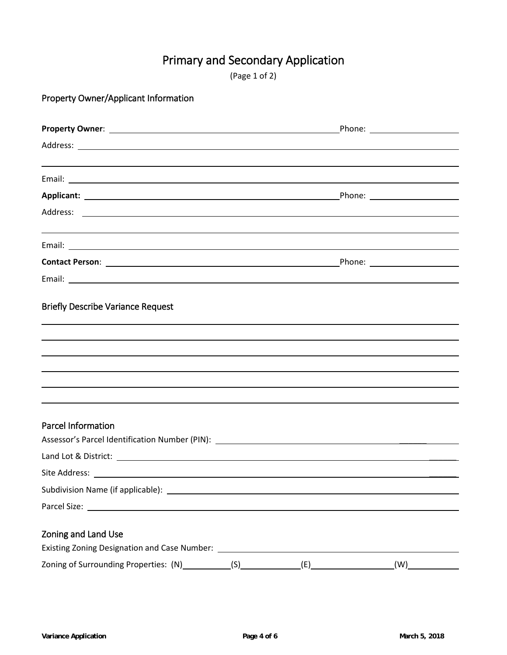# Primary and Secondary Application

| (Page 1 of 2) |  |  |  |
|---------------|--|--|--|
|---------------|--|--|--|

Property Owner/Applicant Information

| <b>Briefly Describe Variance Request</b>                                                                                                                                                                                             |     |     |
|--------------------------------------------------------------------------------------------------------------------------------------------------------------------------------------------------------------------------------------|-----|-----|
|                                                                                                                                                                                                                                      |     |     |
|                                                                                                                                                                                                                                      |     |     |
|                                                                                                                                                                                                                                      |     |     |
| <b>Parcel Information</b>                                                                                                                                                                                                            |     |     |
|                                                                                                                                                                                                                                      |     |     |
| Site Address:                                                                                                                                                                                                                        |     |     |
|                                                                                                                                                                                                                                      |     |     |
| Parcel Size: <u>contract and contract and contract and contract and contract and contract and contract and contract and contract and contract and contract and contract and contract and contract and contract and contract and </u> |     |     |
| Zoning and Land Use                                                                                                                                                                                                                  |     |     |
|                                                                                                                                                                                                                                      | (E) | (W) |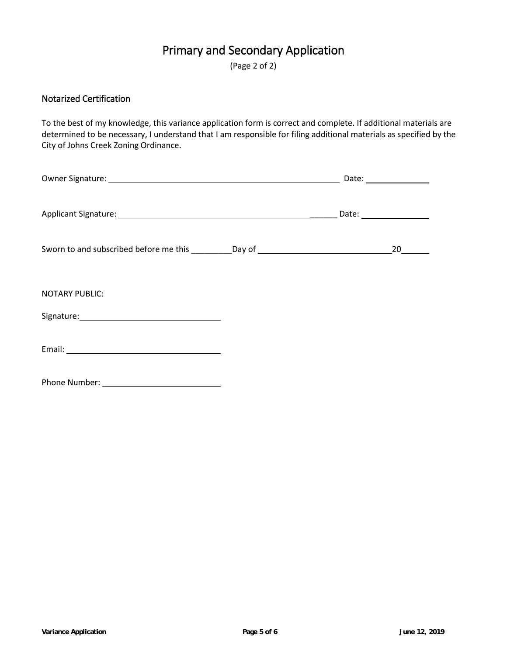## Primary and Secondary Application

(Page 2 of 2)

#### Notarized Certification

To the best of my knowledge, this variance application form is correct and complete. If additional materials are determined to be necessary, I understand that I am responsible for filing additional materials as specified by the City of Johns Creek Zoning Ordinance.

| Sworn to and subscribed before me this __________Day of ________________________                                                                                                                                                                        |  | 20 |
|---------------------------------------------------------------------------------------------------------------------------------------------------------------------------------------------------------------------------------------------------------|--|----|
| <b>NOTARY PUBLIC:</b><br>Signature: Management and Contact and Contact and Contact and Contact and Contact and Contact and Contact and Contact and Contact and Contact and Contact and Contact and Contact and Contact and Contact and Contact and Cont |  |    |
| Email: Note: Note: No. 2014 19:00 No. 2014 19:00 No. 2014 19:00 No. 2014 19:00 No. 2014 19:00 No. 2014 19:00 No                                                                                                                                         |  |    |
|                                                                                                                                                                                                                                                         |  |    |